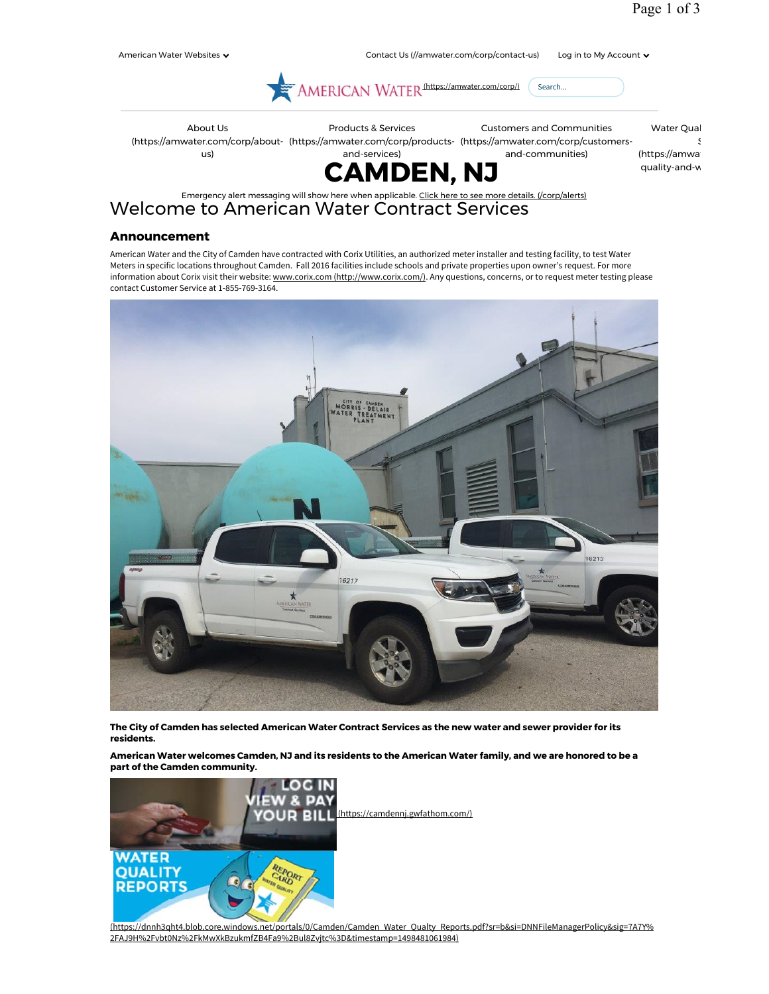S





Emergency alert messaging will show here when applicable. Click here to see more details. (/corp/alerts) Welcome to American Water Contract Services

## **Announcement**

American Water and the City of Camden have contracted with Corix Utilities, an authorized meter installer and testing facility, to test Water Meters in specific locations throughout Camden. Fall 2016 facilities include schools and private properties upon owner's request. For more information about Corix visit their website: www.corix.com (http://www.corix.com/). Any questions, concerns, or to request meter testing please contact Customer Service at 1-855-769-3164.



**The City of Camden has selected American Water Contract Services as the new water and sewer provider for its residents.** 

**American Water welcomes Camden, NJ and its residents to the American Water family, and we are honored to be a part of the Camden community.** 



(https://dnnh3qht4.blob.core.windows.net/portals/0/Camden/Camden\_Water\_Qualty\_Reports.pdf?sr=b&si=DNNFileManagerPolicy&sig=7A7Y% 2FAJ9H%2Fvbt0Nz%2FkMwXkBzukmfZB4Fa9%2Bul8Zvjtc%3D&timestamp=1498481061984)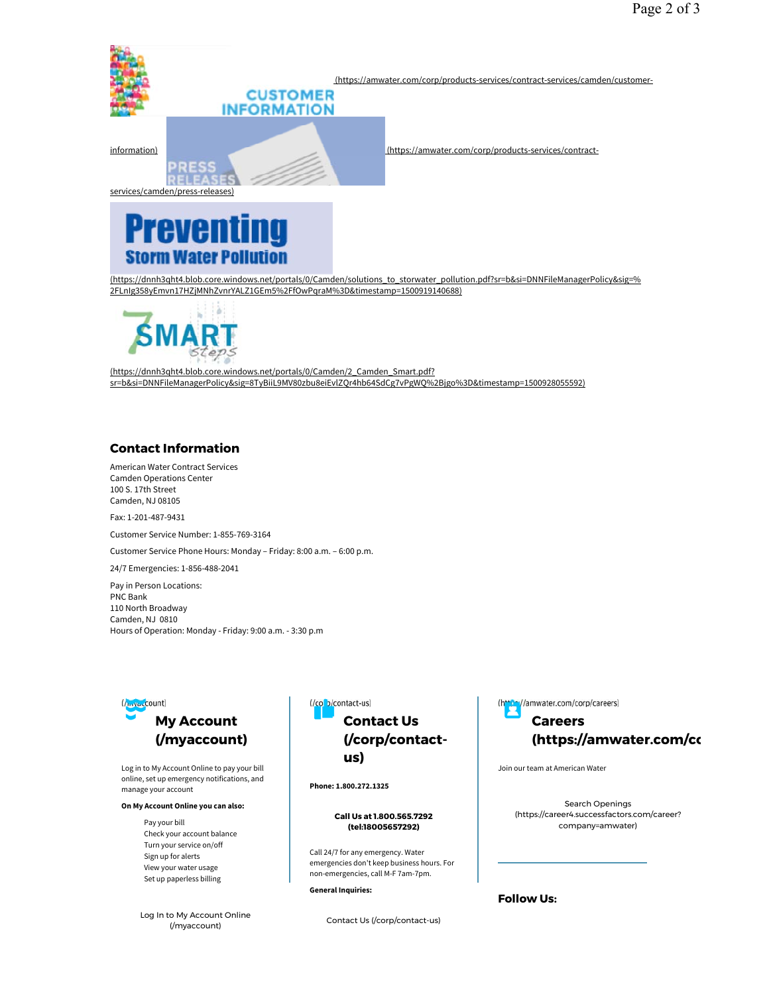

(https://dnnh3qht4.blob.core.windows.net/portals/0/Camden/solutions\_to\_storwater\_pollution.pdf?sr=b&si=DNNFileManagerPolicy&sig=% 2FLnIg358yEmvn17HZjMNhZvnrYALZ1GEm5%2FfOwPgraM%3D&timestamp=1500919140688)



(https://dnnh3qht4.blob.core.windows.net/portals/0/Camden/2\_Camden\_Smart.pdf? sr=b&si=DNNFileManagerPolicy&sig=8TyBiiL9MV80zbu8eiEvlZQr4hb64SdCg7vPgWQ%2Bjgo%3D&timestamp=1500928055592)

## **Contact Information**

American Water Contract Services Camden Operations Center 100 S. 17th Street Camden, NJ 08105

Fax: 1-201-487-9431

Customer Service Number: 1-855-769-3164

Customer Service Phone Hours: Monday – Friday: 8:00 a.m. – 6:00 p.m.

24/7 Emergencies: 1-856-488-2041

Pay in Person Locations: PNC Bank 110 North Broadway Camden, NJ 0810 Hours of Operation: Monday - Friday: 9:00 a.m. - 3:30 p.m



Log in to My Account Online to pay your bill online, set up emergency notifications, and manage your account

### **On My Account Online you can also:**

Pay your bill Check your account balance Turn your service on/off Sign up for alerts View your water usage Set up paperless billing

Log In to My Account Online (/myaccount)



**Phone: 1.800.272.1325**

#### **Call Us at 1.800.565.7292 (tel:18005657292)**

Call 24/7 for any emergency. Water emergencies don't keep business hours. For non-emergencies, call M-F 7am-7pm.

**General Inquiries:**

Contact Us (/corp/contact-us)

//amwater.com/corp/careers)

# **Careers (https://amwater.com/co**

Search Openings (https://career4.successfactors.com/career? company=amwater)

**Follow Us:**